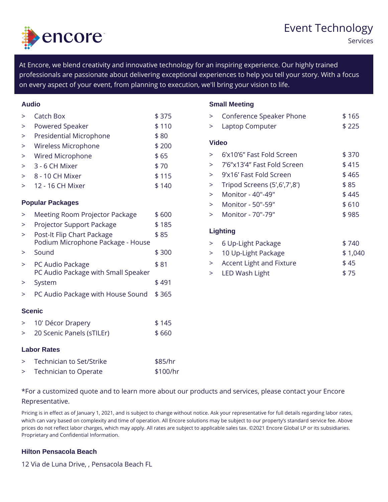## Event Techno

Services

At Encore, we blend creativity and innovative technology for an inspiring  $\epsilon$ professionals are passionate about delivering exceptional experiences to  $\mathfrak k$ on every aspect of your event, from planning to execution, we'll bring your

| Audio            |                                                    |       | <b>Small Meeting</b> |                                     |  |         |
|------------------|----------------------------------------------------|-------|----------------------|-------------------------------------|--|---------|
| $\geq$           | Catch Box                                          | \$375 |                      | > Conference Speaker Phon\$ 165     |  |         |
| $\geq$           | Powered Speaker                                    | \$110 |                      | > Laptop Computer                   |  | $$225$  |
| $\geq$           | Presidential Microphone                            | \$80  |                      |                                     |  |         |
| $\geq$           | Wireless Microphone                                | \$200 | Video                |                                     |  |         |
| $\geq$           | Wired Microphone                                   | \$65  |                      | > 6 x 10 6 Fast Fold Screen\$ 370   |  |         |
| $\geq$           | 3 - 6 CH Mixer                                     | \$70  |                      | > 7 6 x 13 4 Fast Fold Scre&n415    |  |         |
| $\geq$           | 8 - 10 CH Mixer                                    | \$115 | $\geq$               | 9 x 16 Fast Fold Screen \$465       |  |         |
| $\geq$           | 12 - 16 CH Mixer                                   | \$140 | >                    | Tripod Screens (5', 6', 7', 8\$) 85 |  |         |
|                  |                                                    |       | $\geq$               | Monitor - 40"-49"                   |  | \$445   |
| Popular Packages |                                                    |       | $\geq$               | Monitor - 50"-59"                   |  | \$610   |
| $\geq$           | Meeting Room Projector P\$a o6kOaOge               |       |                      | > Monitor - 70"-79"                 |  | \$985   |
| $\geq$           | Projector Support Packag 6 185                     |       |                      |                                     |  |         |
| $\geq$           | Post-It Flip Chart Packag \$85                     |       | Lighting             |                                     |  |         |
|                  | Podium Microphone Package - House >                |       |                      | 6 Up-Light Package                  |  | \$740   |
| >                | Sound                                              | \$300 |                      | > 10 Up-Light Package               |  | \$1,040 |
| $\geq$           | PC Audio Package                                   | \$81  |                      | > Accent Light and Fixture \$45     |  |         |
|                  | PC Audio Package with Small Speakes LED Wash Light |       |                      |                                     |  | \$75    |
|                  | > System                                           | \$491 |                      |                                     |  |         |
|                  | > PC Audio Package with Ho\$u \$65S ound           |       |                      |                                     |  |         |
| Scenic           |                                                    |       |                      |                                     |  |         |
|                  | > 10' Décor Drapery                                | \$145 |                      |                                     |  |         |
|                  | > 20 Scenic Panels (sTILEr)\$ 660                  |       |                      |                                     |  |         |

## Labor Rates

> Technician to Set/Strike \$85/hr > Technician to Operate \$100/hr

\*For a customized quote and to learn more about our products and services, Representative.

Pricing is in effect as of January 1, 2021, and is subject to change without notice. Ask your represer which can vary based on complexity and time of operation. All Encore solutions may be subject to ou prices do not reflect labor charges, which may apply. All rates are subject to applicable sales tax. © Proprietary and Confidential Information.

## Hilton Pensacola Beach

12 Via de Luna Drive, , Pensacola Beach FL